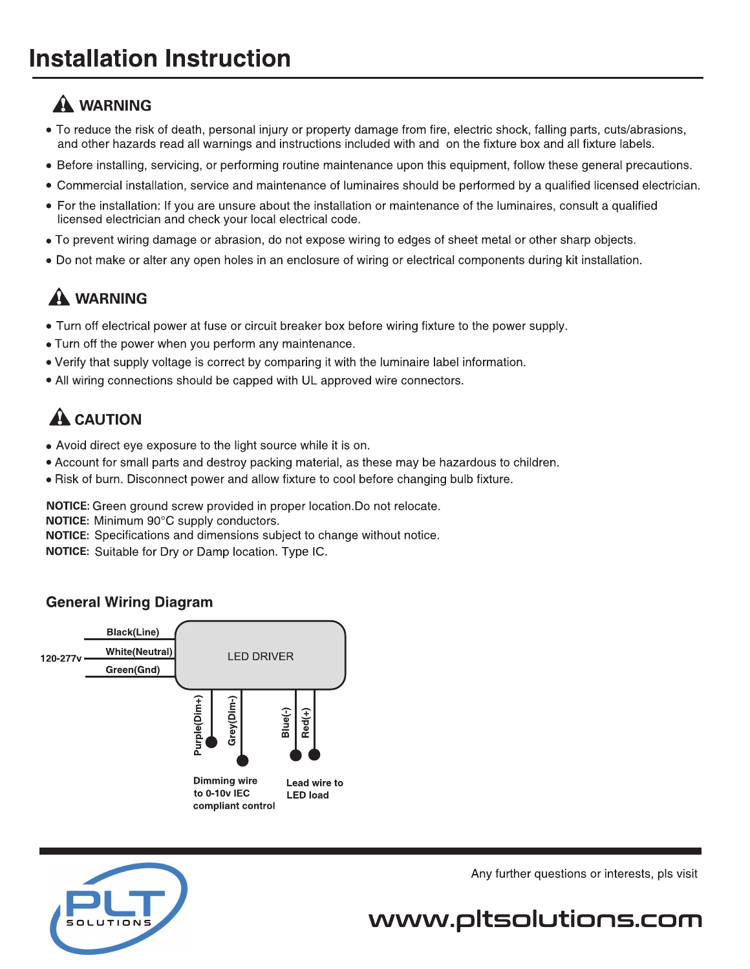## **A WARNING**

- To reduce the risk of death, personal injury or property damage from fire, electric shock, falling parts, cuts/abrasions, and other hazards read all warnings and instructions included with and on the fixture box and all fixture labels.
- Before installing, servicing, or performing routine maintenance upon this equipment, follow these general precautions.
- Commercial installation, service and maintenance of luminaires should be performed by a qualified licensed electrician.
- For the installation: If you are unsure about the installation or maintenance of the luminaires, consult a qualified licensed electrician and check your local electrical code.
- To prevent wiring damage or abrasion, do not expose wiring to edges of sheet metal or other sharp objects.
- Do not make or alter any open holes in an enclosure of wiring or electrical components during kit installation.

## **A WARNING**

- Turn off electrical power at fuse or circuit breaker box before wiring fixture to the power supply.
- . Turn off the power when you perform any maintenance.
- Verify that supply voltage is correct by comparing it with the luminaire label information.
- All wiring connections should be capped with UL approved wire connectors.

## $\mathbf A$  CAUTION

- Avoid direct eye exposure to the light source while it is on.
- Account for small parts and destroy packing material, as these may be hazardous to children.
- . Risk of burn. Disconnect power and allow fixture to cool before changing bulb fixture.

NOTICE: Green ground screw provided in proper location. Do not relocate.

NOTICE: Minimum 90°C supply conductors.

NOTICE: Specifications and dimensions subject to change without notice.

NOTICE: Suitable for Dry or Damp location. Type IC.

### **General Wiring Diagram**





Any further questions or interests, pls visit

# www.pltsolutions.com